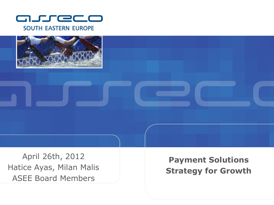



April 26th, 2012 Hatice Ayas, Milan Malis ASEE Board Members

**Payment Solutions Strategy for Growth**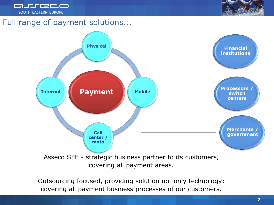



#### Full range of payment solutions...



Outsourcing focused, providing solution not only technology; covering all payment business processes of our customers.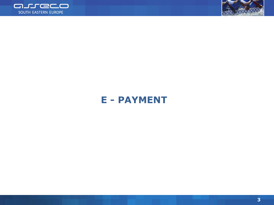



# **E - PAYMENT**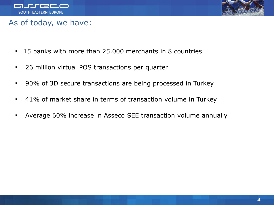



#### As of today, we have:

- 15 banks with more than 25.000 merchants in 8 countries
- **26 million virtual POS transactions per quarter**
- 90% of 3D secure transactions are being processed in Turkey
- 41% of market share in terms of transaction volume in Turkey
- Average 60% increase in Asseco SEE transaction volume annually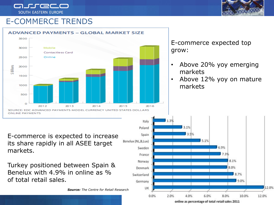arreco **SOUTH EASTERN EUROPE** 



### E-COMMERCE TRENDS



online as percentage of total retail sales 2011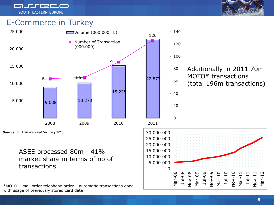

#### E-Commerce in Turkey



#### Additionally in 2011 70m MOTO\* transactions (total 196m transactions)

*Source: Turkish National Switch (BKM)*

ASEE processed 80m - 41% market share in terms of no of transactions

\*MOTO – mail order telephone order – automatic transactions done with usage of previously stored card data

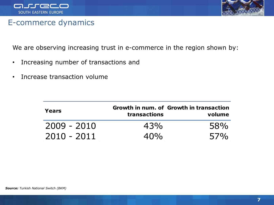



#### E-commerce dynamics

We are observing increasing trust in e-commerce in the region shown by:

- Increasing number of transactions and
- Increase transaction volume

| Years         | transactions | Growth in num. of Growth in transaction<br>volume |
|---------------|--------------|---------------------------------------------------|
| $2009 - 2010$ | 43%          | 58%                                               |
| $2010 - 2011$ | 40%          | 57%                                               |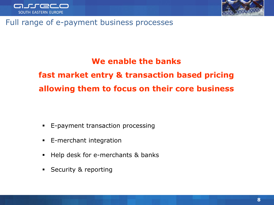



#### Full range of e-payment business processes

#### **We enable the banks**

**fast market entry & transaction based pricing allowing them to focus on their core business**

- **E-payment transaction processing**
- **E-merchant integration**
- **Help desk for e-merchants & banks**
- Security & reporting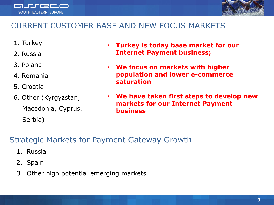



## CURRENT CUSTOMER BASE AND NEW FOCUS MARKETS

- 1. Turkey
- 2. Russia
- 3. Poland
- 4. Romania
- 5. Croatia
- 6. Other (Kyrgyzstan, Macedonia, Cyprus, Serbia)
- **Turkey is today base market for our Internet Payment business;**
- **We focus on markets with higher population and lower e-commerce saturation**
- **We have taken first steps to develop new markets for our Internet Payment business**

## Strategic Markets for Payment Gateway Growth

- 1. Russia
- 2. Spain
- 3. Other high potential emerging markets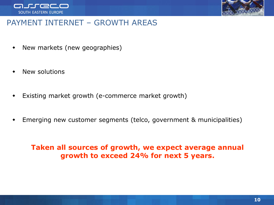



#### PAYMENT INTERNET – GROWTH AREAS

- New markets (new geographies)
- New solutions
- Existing market growth (e-commerce market growth)
- Emerging new customer segments (telco, government & municipalities)

#### **Taken all sources of growth, we expect average annual growth to exceed 24% for next 5 years.**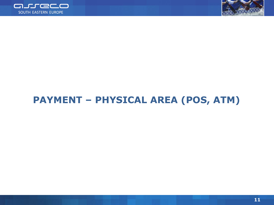



# **PAYMENT – PHYSICAL AREA (POS, ATM)**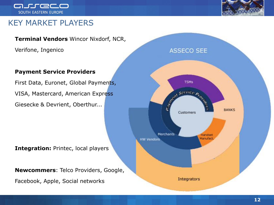



#### KEY MARKET PLAYERS

#### **Terminal Vendors** Wincor Nixdorf, NCR,

Verifone, Ingenico

#### **Payment Service Providers**

First Data, Euronet, Global Payments, VISA, Mastercard, American Express Giesecke & Devrient, Oberthur...

**Integration:** Printec, local players

**Newcommers**: Telco Providers, Google,

Facebook, Apple, Social networks

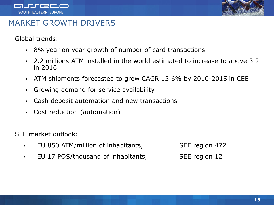



#### MARKET GROWTH DRIVERS

Global trends:

- 8% year on year growth of number of card transactions
- 2.2 millions ATM installed in the world estimated to increase to above 3.2 in 2016
- ATM shipments forecasted to grow CAGR 13.6% by 2010-2015 in CEE
- Growing demand for service availability
- Cash deposit automation and new transactions
- Cost reduction (automation)

SEE market outlook:

- EU 850 ATM/million of inhabitants, SEE region 472
- EU 17 POS/thousand of inhabitants, SEE region 12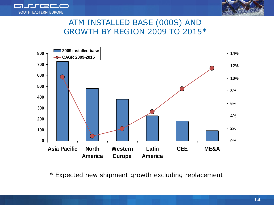



### ATM INSTALLED BASE (000S) AND GROWTH BY REGION 2009 TO 2015\*



\* Expected new shipment growth excluding replacement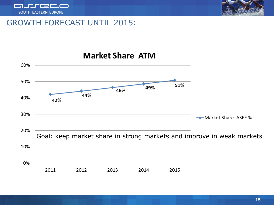



### GROWTH FORECAST UNTIL 2015:



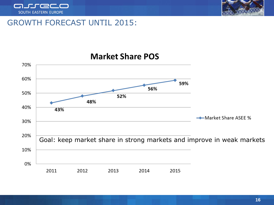



#### GROWTH FORECAST UNTIL 2015:

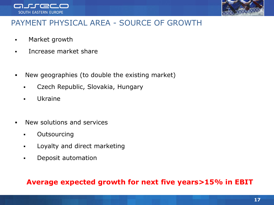



#### PAYMENT PHYSICAL AREA - SOURCE OF GROWTH

- Market growth
- **Increase market share**
- New geographies (to double the existing market)
	- Czech Republic, Slovakia, Hungary
	- Ukraine
- New solutions and services
	- **-** Outsourcing
	- **Example 1** Loyalty and direct marketing
	- **•** Deposit automation

#### **Average expected growth for next five years>15% in EBIT**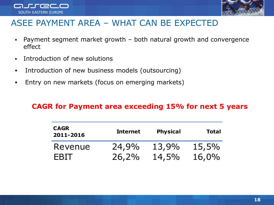



## ASEE PAYMENT AREA – WHAT CAN BE EXPECTED

- Payment segment market growth both natural growth and convergence effect
- Introduction of new solutions
- Introduction of new business models (outsourcing)
- **Entry on new markets (focus on emerging markets)**

#### **CAGR for Payment area exceeding 15% for next 5 years**

| <b>CAGR</b><br>2011-2016 | <b>Internet</b> | <b>Physical</b> | <b>Total</b> |
|--------------------------|-----------------|-----------------|--------------|
| Revenue                  | 24,9%           | 13,9%           | 15,5%        |
| <b>EBIT</b>              | 26,2%           | 14,5%           | 16,0%        |